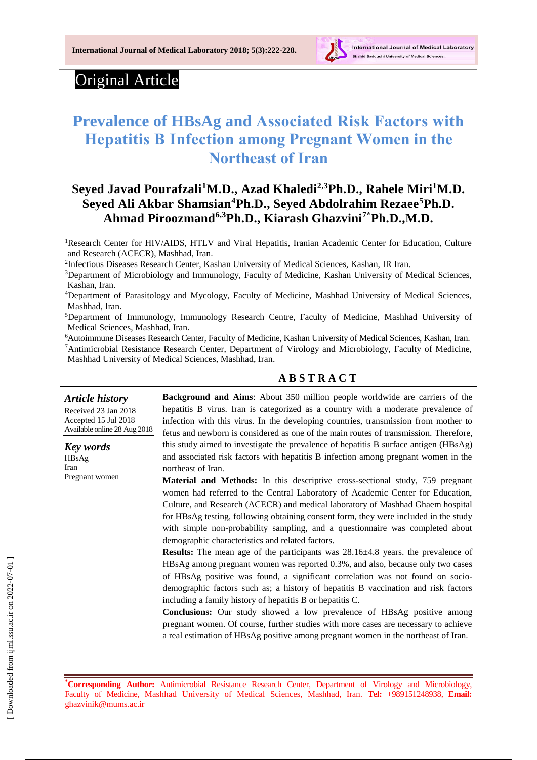

## Original Article

# **[Prevalence of H](https://www.ncbi.nlm.nih.gov/pmc/articles/PMC4256822/)BsAg and Associated Risk Factors with Hepatitis B Infection among Pregnant Women in the Northeast of Iran**

## **Seyed Javad Pourafzali<sup>1</sup>M.D., Azad Khaledi2,3Ph.D., Rahele Miri<sup>1</sup>M.D. Seyed Ali Akbar Shamsian<sup>4</sup>Ph.D., Seyed Abdolrahim Rezaee<sup>5</sup>Ph.D. Ahmad Piroozmand6,3Ph.D., Kiarash Ghazvini7\*Ph.D.,M.D.**

<sup>1</sup>Research Center for HIV/AIDS, HTLV and Viral Hepatitis, Iranian Academic Center for Education, Culture and Research (ACECR), Mashhad, Iran.

2 Infectious Diseases Research Center, Kashan University of Medical Sciences, Kashan, IR Iran.

<sup>3</sup>Department of Microbiology and Immunology, Faculty of Medicine, Kashan University of Medical Sciences, Kashan, Iran.

<sup>4</sup>Department of Parasitology and Mycology, Faculty of Medicine, Mashhad University of Medical Sciences, Mashhad, Iran.

<sup>5</sup>Department of Immunology, Immunology Research Centre, Faculty of Medicine, Mashhad University of Medical Sciences, Mashhad, Iran.

<sup>6</sup>Autoimmune Diseases Research Center, Faculty of Medicine, Kashan University of Medical Sciences, Kashan, Iran. <sup>7</sup>Antimicrobial Resistance Research Center, Department of Virology and Microbiology, Faculty of Medicine, Mashhad University of Medical Sciences, Mashhad, Iran.

#### **A B S T R A C T**

*Article history* Received 23 Jan 2018 Accepted 15 Jul 2018 Available online 28 Aug 2018

*Key words* HBsAg Iran Pregnant women

**Background and Aims**: About 350 million people worldwide are carriers of the hepatitis B virus. Iran is categorized as a country with a moderate prevalence of infection with this virus. In the developing countries, transmission from mother to fetus and newborn is considered as one of the main routes of transmission. Therefore, this study aimed to investigate [the prevalence of hepatitis B surface antigen](https://www.ncbi.nlm.nih.gov/pmc/articles/PMC4256822/) (HBsAg) and associated risk factors with hepatitis B infection among pregnant women in the northeast of Iran.

**Material and Methods:** In this descriptive cross-sectional study, 759 pregnant women had referred to the Central Laboratory of Academic Center for Education, Culture, and Research (ACECR) and medical laboratory of Mashhad Ghaem hospital for HBsAg testing, following obtaining consent form, they were included in the study with simple non-probability sampling, and a questionnaire was completed about demographic characteristics and related factors.

**Results:** The mean age of the participants was  $28.16\pm4.8$  years. the prevalence of HBsAg among pregnant women was reported 0.3%, and also, because only two cases of HBsAg positive was found, a significant correlation was not found on sociodemographic factors such as; a history of hepatitis B vaccination and risk factors including a family history of hepatitis B or hepatitis C.

**Conclusions:** Our study showed a low prevalence of HBsAg positive among pregnant women. Of course, further studies with more cases are necessary to achieve a real estimation of HBsAg positive among pregnant women in the northeast of Iran.

**\*Corresponding Author:** Antimicrobial Resistance Research Center, Department of Virology and Microbiology, Faculty of Medicine, Mashhad University of Medical Sciences, Mashhad, Iran. **Tel:** +989151248938, **Email:** [ghazvinik@mums.ac.ir](mailto:ghazvinik@mums.ac.ir)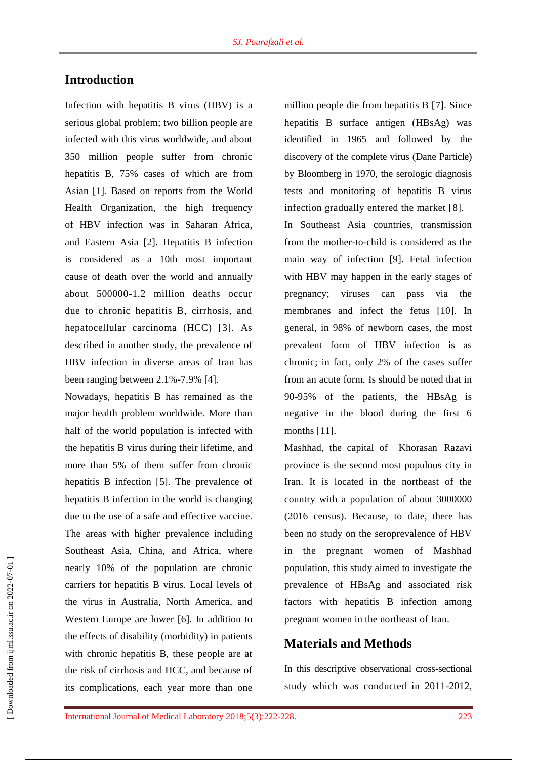## **Introduction**

Infection with hepatitis B virus (HBV) is a serious global problem; two billion people are infected with this virus worldwide, and about 350 million people suffer from chronic hepatitis B, 75% cases of which are from Asian [1]. Based on reports from the World Health Organization, the high frequency of HBV infection was in Saharan Africa, and Eastern Asia [2]. Hepatitis B infection is considered as a 10th most important cause of death over the world and annually about 500000-1.2 million deaths occur due to chronic hepatitis B, cirrhosis, and hepatocellular carcinoma (HCC) [3]. As described in another study, the prevalence of HBV infection in diverse areas of Iran has been ranging between 2.1%-7.9% [4].

Nowadays, hepatitis B has remained as the major health problem worldwide. More than half of the world population is infected with the hepatitis B virus during their lifetime, and more than 5% of them suffer from chronic hepatitis B infection [5]. The prevalence of hepatitis B infection in the world is changing due to the use of a safe and effective vaccine. The areas with higher prevalence including Southeast Asia, China, and Africa, where nearly 10% of the population are chronic carriers for hepatitis B virus. Local levels of the virus in Australia, North America, and Western Europe are lower [6]. In addition to the effects of disability (morbidity) in patients with chronic hepatitis B, these people are at the risk of cirrhosis and HCC, and because of its complications, each year more than one

million people die from hepatitis B [7]. Since hepatitis B surface antigen (HBsAg) was identified in 1965 and followed by the discovery of the complete virus (Dane Particle) by Bloomberg in 1970, the serologic diagnosis tests and monitoring of hepatitis B virus infection gradually entered the market [8].

In Southeast Asia countries, transmission from the mother-to-child is considered as the main way of infection [9]. Fetal infection with HBV may happen in the early stages of pregnancy; viruses can pass via the membranes and infect the fetus [10]. In general, in 98% of newborn cases, the most prevalent form of HBV infection is as chronic; in fact, only 2% of the cases suffer from an acute form. Is should be noted that in 90-95% of the patients, the HBsAg is negative in the blood during the first 6 months [11].

Mashhad, the capital of [Khorasan](https://en.wikipedia.org/wiki/Razavi_Khorasan_Province) Razavi [province](https://en.wikipedia.org/wiki/Razavi_Khorasan_Province) is the [second most populous](https://en.wikipedia.org/wiki/List_of_Iranian_cities_by_population) city in [Iran.](https://en.wikipedia.org/wiki/Iran) It is located in the northeast of the country with a population of about 3000000 (2016 census). Because, to date, there has been no study on the seroprevalence of HBV in the pregnant women of Mashhad population, this study aimed to investigate [the](https://www.ncbi.nlm.nih.gov/pmc/articles/PMC4256822/)  [prevalence of H](https://www.ncbi.nlm.nih.gov/pmc/articles/PMC4256822/)BsAg and associated risk factors with hepatitis B infection among pregnant women in the northeast of Iran.

## **Materials and Methods**

In this descriptive observational cross-sectional study which was conducted in 2011-2012,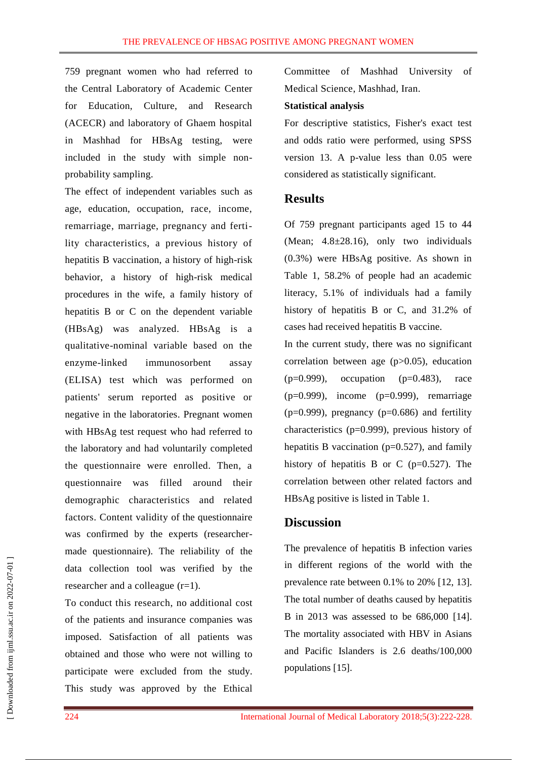759 pregnant women who had referred to the Central Laboratory of Academic Center for Education, Culture, and Research (ACECR) and laboratory of Ghaem hospital in Mashhad for HBsAg testing, were included in the study with simple nonprobability sampling.

The effect of independent variables such as age, education, occupation, race, income, remarriage, marriage, pregnancy and fertility characteristics, a previous history of hepatitis B vaccination, a history of high-risk behavior, a history of high-risk medical procedures in the wife, a family history of hepatitis B or C on the dependent variable (HBsAg) was analyzed. HBsAg is a qualitative-nominal variable based on the enzyme-linked immunosorbent assay (ELISA) test which was performed on patients' serum reported as positive or negative in the laboratories. Pregnant women with HBsAg test request who had referred to the laboratory and had voluntarily completed the questionnaire were enrolled. Then, a questionnaire was filled around their demographic characteristics and related factors. Content validity of the questionnaire was confirmed by the experts (researchermade questionnaire). The reliability of the data collection tool was verified by the researcher and a colleague (r=1).

To conduct this research, no additional cost of the patients and insurance companies was imposed. Satisfaction of all patients was obtained and those who were not willing to participate were excluded from the study. This study was approved by the Ethical

Committee of Mashhad University of Medical Science, Mashhad, Iran.

#### **Statistical analysis**

For descriptive statistics, Fisher's exact test and odds ratio were performed, using SPSS version 13. A p-value less than 0.05 were considered as statistically significant.

#### **Results**

Of 759 pregnant participants aged 15 to 44 (Mean;  $4.8 \pm 28.16$ ), only two individuals (0.3%) were HBsAg positive. As shown in Table 1, 58.2% of people had an academic literacy, 5.1% of individuals had a family history of hepatitis B or C, and 31.2% of cases had received hepatitis B vaccine.

In the current study, there was no significant correlation between age (p>0.05), education  $(p=0.999)$ , occupation  $(p=0.483)$ , race  $(p=0.999)$ , income  $(p=0.999)$ , remarriage  $(p=0.999)$ , pregnancy  $(p=0.686)$  and fertility characteristics (p=0.999), previous history of hepatitis B vaccination ( $p=0.527$ ), and family history of hepatitis B or C ( $p=0.527$ ). The correlation between other related factors and HBsAg positive is listed in Table 1.

#### **Discussion**

The prevalence of hepatitis B infection varies in different regions of the world with the prevalence rate between 0.1% to 20% [12, 13]. The total number of deaths caused by hepatitis B in 2013 was assessed to be 686,000 [14]. The mortality associated with HBV in Asians and Pacific Islanders is 2.6 deaths/100,000 populations [15].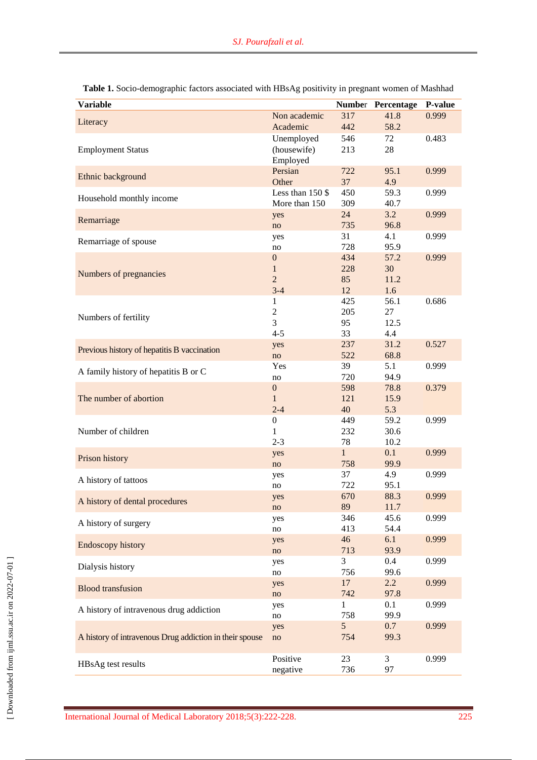| <b>Variable</b>                                         |                     |              | Number Percentage | <b>P-value</b> |
|---------------------------------------------------------|---------------------|--------------|-------------------|----------------|
| Literacy                                                | Non academic        | 317          | 41.8              | 0.999          |
|                                                         | Academic            | 442          | 58.2              |                |
|                                                         | Unemployed          | 546          | 72                | 0.483          |
| <b>Employment Status</b>                                | (housewife)         | 213          | 28                |                |
|                                                         | Employed<br>Persian | 722          | 95.1              | 0.999          |
| Ethnic background                                       | Other               | 37           | 4.9               |                |
| Household monthly income                                | Less than 150 \$    | 450          | 59.3              | 0.999          |
|                                                         | More than 150       | 309          | 40.7              |                |
| Remarriage                                              | yes                 | 24           | 3.2               | 0.999          |
|                                                         | no                  | 735<br>31    | 96.8<br>4.1       | 0.999          |
| Remarriage of spouse                                    | yes<br>no           | 728          | 95.9              |                |
|                                                         | $\boldsymbol{0}$    | 434          | 57.2              | 0.999          |
| Numbers of pregnancies                                  | $\mathbf{1}$        | 228          | 30                |                |
|                                                         | $\overline{2}$      | 85           | 11.2              |                |
|                                                         | $3-4$               | 12           | 1.6               |                |
|                                                         | $\mathbf{1}$        | 425          | 56.1              | 0.686          |
| Numbers of fertility                                    | $\overline{c}$      | 205          | 27                |                |
|                                                         | 3                   | 95           | 12.5              |                |
|                                                         | $4 - 5$             | 33           | 4.4               |                |
| Previous history of hepatitis B vaccination             | yes                 | 237          | 31.2              | 0.527          |
|                                                         | no<br>Yes           | 522<br>39    | 68.8<br>5.1       | 0.999          |
| A family history of hepatitis B or C                    | no                  | 720          | 94.9              |                |
|                                                         | $\boldsymbol{0}$    | 598          | 78.8              | 0.379          |
| The number of abortion                                  | $\mathbf{1}$        | 121          | 15.9              |                |
|                                                         | $2 - 4$             | 40           | 5.3               |                |
|                                                         | $\boldsymbol{0}$    | 449          | 59.2              | 0.999          |
| Number of children                                      | $\mathbf{1}$        | 232          | 30.6              |                |
|                                                         | $2 - 3$             | 78           | 10.2              |                |
| Prison history                                          | yes                 | $\mathbf{1}$ | 0.1               | 0.999          |
|                                                         | no                  | 758          | 99.9              |                |
| A history of tattoos                                    | yes                 | 37           | 4.9               | 0.999          |
|                                                         | no                  | 722<br>670   | 95.1<br>88.3      | 0.999          |
| A history of dental procedures                          | yes<br>no           | 89           | 11.7              |                |
|                                                         | yes                 | 346          | 45.6              | 0.999          |
| A history of surgery                                    | no                  | 413          | 54.4              |                |
|                                                         | yes                 | 46           | 6.1               | 0.999          |
| <b>Endoscopy history</b>                                | no                  | 713          | 93.9              |                |
| Dialysis history                                        | yes                 | 3            | $0.4\,$           | 0.999          |
|                                                         | no                  | 756          | 99.6              |                |
| <b>Blood transfusion</b>                                | yes                 | 17           | $2.2^{\circ}$     | 0.999          |
|                                                         | no                  | 742          | 97.8              |                |
| A history of intravenous drug addiction                 | yes                 | 1<br>758     | 0.1<br>99.9       | 0.999          |
|                                                         | no<br>yes           | 5            | 0.7               | 0.999          |
| A history of intravenous Drug addiction in their spouse | no                  | 754          | 99.3              |                |
|                                                         |                     |              |                   |                |
|                                                         | Positive            | 23           | 3                 | 0.999          |
| HBsAg test results                                      | negative            | 736          | 97                |                |

| Table 1. Socio-demographic factors associated with HBsAg positivity in pregnant women of Mashhad |  |  |
|--------------------------------------------------------------------------------------------------|--|--|
|--------------------------------------------------------------------------------------------------|--|--|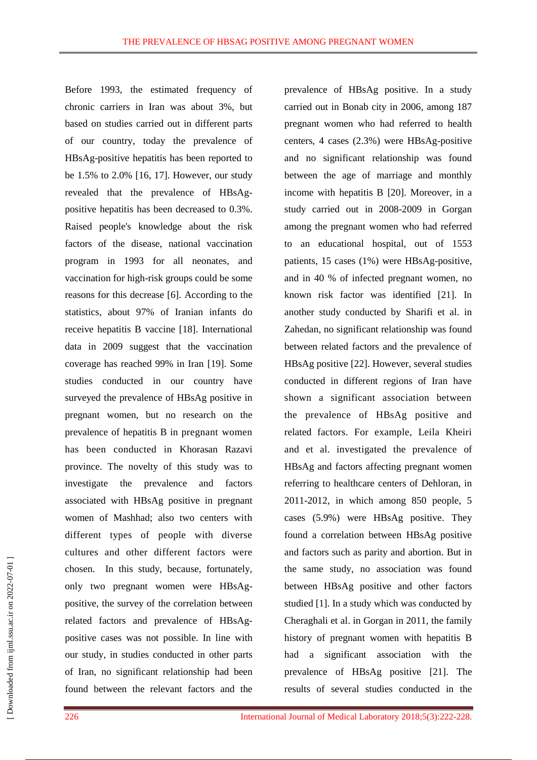Before 1993, the estimated frequency of chronic carriers in Iran was about 3%, but based on studies carried out in different parts of our country, today the prevalence of HBsAg-positive hepatitis has been reported to be 1.5% to 2.0% [16, 17]. However, our study revealed that the prevalence of HBsAgpositive hepatitis has been decreased to 0.3%. Raised people's knowledge about the risk factors of the disease, national vaccination program in 1993 for all neonates, and vaccination for high-risk groups could be some reasons for this decrease [6]. According to the statistics, about 97% of Iranian infants do receive hepatitis B vaccine [18]. International data in 2009 suggest that the vaccination coverage has reached 99% in Iran [19]. Some studies conducted in our country have surveyed the prevalence of HBsAg positive in pregnant women, but no research on the prevalence of hepatitis B in pregnant women has been conducted in Khorasan Razavi province. The novelty of this study was to investigate the prevalence and factors associated with HBsAg positive in pregnant women of Mashhad; also two centers with different types of people with diverse cultures and other different factors were chosen. In this study, because, fortunately, only two pregnant women were HBsAgpositive, the survey of the correlation between related factors and prevalence of HBsAgpositive cases was not possible. In line with our study, in studies conducted in other parts of Iran, no significant relationship had been found between the relevant factors and the

prevalence of HBsAg positive. In a study carried out in Bonab city in 2006, among 187 pregnant women who had referred to health centers, 4 cases (2.3%) were HBsAg-positive and no significant relationship was found between the age of marriage and monthly income with hepatitis B [20]. Moreover, in a study carried out in 2008-2009 in Gorgan among the pregnant women who had referred to an educational hospital, out of 1553 patients, 15 cases (1%) were HBsAg-positive, and in 40 % of infected pregnant women, no known risk factor was identified [21]. In another study conducted by Sharifi et al. in Zahedan, no significant relationship was found between related factors and the prevalence of HBsAg positive [22]. However, several studies conducted in different regions of Iran have shown a significant association between the prevalence of HBsAg positive and related factors. For example, Leila Kheiri and et al. investigated the prevalence of HBsAg and factors affecting pregnant women referring to healthcare centers of Dehloran, in 2011-2012, in which among 850 people, 5 cases (5.9%) were HBsAg positive. They found a correlation between HBsAg positive and factors such as parity and abortion. But in the same study, no association was found between HBsAg positive and other factors studied [1]. In a study which was conducted by Cheraghali et al. in Gorgan in 2011, the family history of pregnant women with hepatitis B had a significant association with the prevalence of HBsAg positive [21]. The results of several studies conducted in the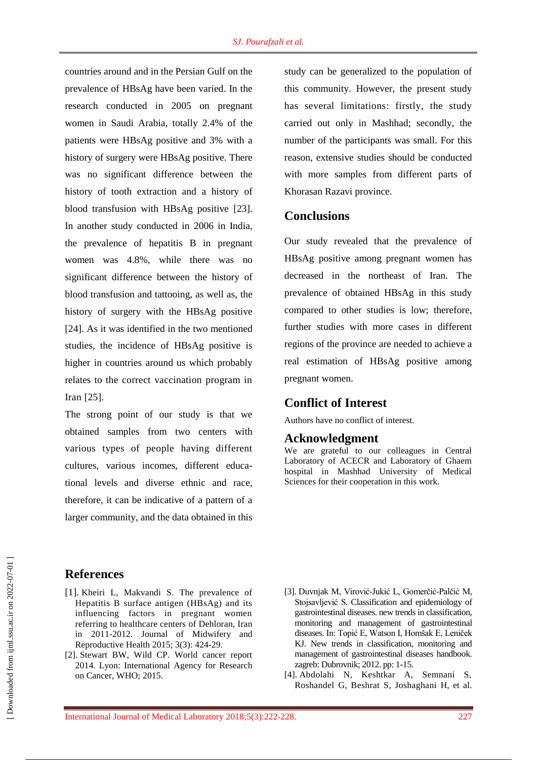countries around and in the Persian Gulf on the prevalence of HBsAg have been varied. In the research conducted in 2005 on pregnant women in Saudi Arabia, totally 2.4% of the patients were HBsAg positive and 3% with a history of surgery were HBsAg positive. There was no significant difference between the history of tooth extraction and a history of blood transfusion with HBsAg positive [23]. In another study conducted in 2006 in India, the prevalence of hepatitis B in pregnant women was 4.8%, while there was no significant difference between the history of blood transfusion and tattooing, as well as, the history of surgery with the HBsAg positive [24]. As it was identified in the two mentioned studies, the incidence of HBsAg positive is higher in countries around us which probably relates to the correct vaccination program in Iran [25].

The strong point of our study is that we obtained samples from two centers with various types of people having different cultures, various incomes, different educational levels and diverse ethnic and race, therefore, it can be indicative of a pattern of a larger community, and the data obtained in this study can be generalized to the population of this community. However, the present study has several limitations: firstly, the study carried out only in Mashhad; secondly, the number of the participants was small. For this reason, extensive studies should be conducted with more samples from different parts of Khorasan Razavi province.

### **Conclusions**

Our study revealed that the prevalence of HBsAg positive among pregnant women has decreased in the northeast of Iran. The prevalence of obtained HBsAg in this study compared to other studies is low; therefore, further studies with more cases in different regions of the province are needed to achieve a real estimation of HBsAg positive among pregnant women.

### **Conflict of Interest**

Authors have no conflict of interest.

#### **Acknowledgment**

We are grateful to our colleagues in Central Laboratory of ACECR and Laboratory of Ghaem hospital in Mashhad University of Medical Sciences for their cooperation in this work.

## **References**

- [1]. Kheiri L, Makvandi S. The prevalence of Hepatitis B surface antigen (HBsAg) and its influencing factors in pregnant women referring to healthcare centers of Dehloran, Iran in 2011-2012. Journal of Midwifery and Reproductive Health 2015; 3(3): 424-29.
- [2]. Stewart BW, Wild CP. World cancer report 2014. Lyon: International Agency for Research on Cancer, WHO; 2015.
- [3]. Duvnjak M, Virović-Jukić L, Gomerčić-Palčić M, Stojsavljević S. Classification and epidemiology of gastrointestinal diseases. new trends in classification, monitoring and management of gastrointestinal diseases. In: Topić E, Watson I, Homšak E, Leniček KJ. New trends in classification, monitoring and management of gastrointestinal diseases handbook. zagreb: Dubrovnik; 2012. pp: 1-15.
- [4]. Abdolahi N, Keshtkar A, Semnani S, Roshandel G, Beshrat S, Joshaghani H, et al.